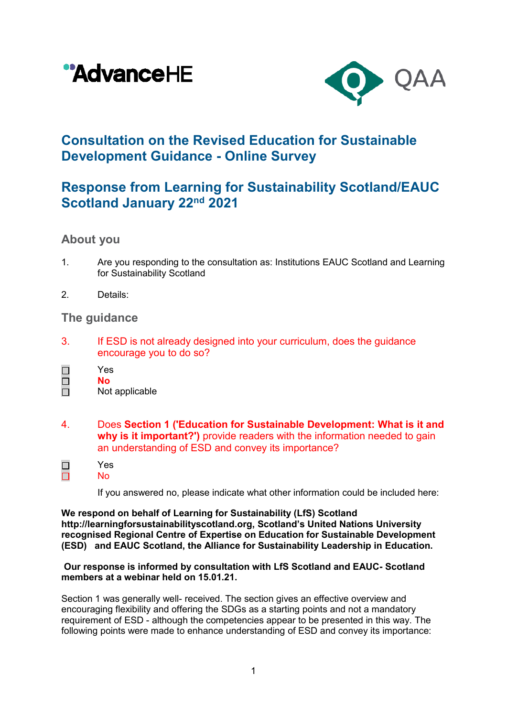



# **Consultation on the Revised Education for Sustainable Development Guidance - Online Survey**

## **Response from Learning for Sustainability Scotland/EAUC Scotland January 22nd 2021**

## **About you**

- 1. Are you responding to the consultation as: Institutions EAUC Scotland and Learning for Sustainability Scotland
- 2. Details:

### **The guidance**

- 3. If ESD is not already designed into your curriculum, does the guidance encourage you to do so?
- Yes  $\Box$  **No**  $\Box$ 
	- Not applicable

Yes No

- 4. Does **Section 1 ('Education for Sustainable Development: What is it and why is it important?')** provide readers with the information needed to gain an understanding of ESD and convey its importance?
- $\Box$ П

If you answered no, please indicate what other information could be included here:

**We respond on behalf of Learning for Sustainability (LfS) Scotland [http://learningforsustainabilityscotland.org](http://learningforsustainabilityscotland.org/), Scotland's United Nations University recognised Regional Centre of Expertise on Education for Sustainable Development (ESD) and EAUC Scotland, the Alliance for Sustainability Leadership in Education.** 

### **Our response is informed by consultation with LfS Scotland and EAUC- Scotland members at a webinar held on 15.01.21.**

Section 1 was generally well- received. The section gives an effective overview and encouraging flexibility and offering the SDGs as a starting points and not a mandatory requirement of ESD - although the competencies appear to be presented in this way. The following points were made to enhance understanding of ESD and convey its importance: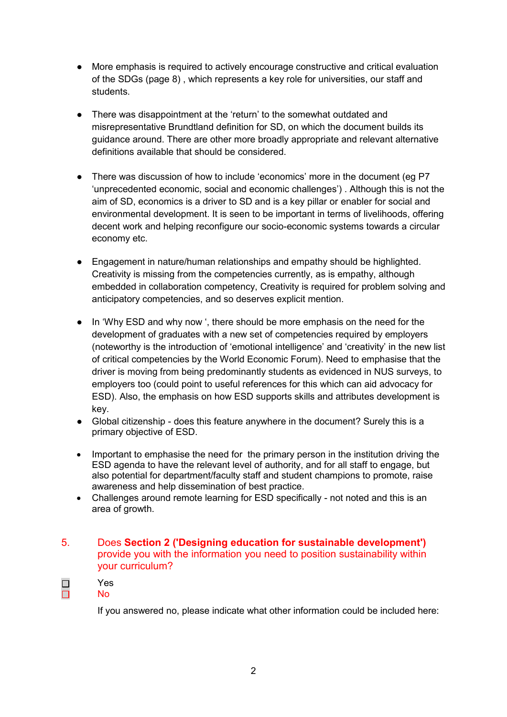- More emphasis is required to actively encourage constructive and critical evaluation of the SDGs (page 8) , which represents a key role for universities, our staff and students.
- There was disappointment at the 'return' to the somewhat outdated and misrepresentative Brundtland definition for SD, on which the document builds its guidance around. There are other more broadly appropriate and relevant alternative definitions available that should be considered.
- There was discussion of how to include 'economics' more in the document (eg P7 'unprecedented economic, social and economic challenges') . Although this is not the aim of SD, economics is a driver to SD and is a key pillar or enabler for social and environmental development. It is seen to be important in terms of livelihoods, offering decent work and helping reconfigure our socio-economic systems towards a circular economy etc.
- Engagement in nature/human relationships and empathy should be highlighted. Creativity is missing from the competencies currently, as is empathy, although embedded in collaboration competency, Creativity is required for problem solving and anticipatory competencies, and so deserves explicit mention.
- In 'Why ESD and why now ', there should be more emphasis on the need for the development of graduates with a new set of competencies required by employers (noteworthy is the introduction of 'emotional intelligence' and 'creativity' in the new list of critical competencies by the World Economic Forum). Need to emphasise that the driver is moving from being predominantly students as evidenced in NUS surveys, to employers too (could point to useful references for this which can aid advocacy for ESD). Also, the emphasis on how ESD supports skills and attributes development is key.
- Global citizenship does this feature anywhere in the document? Surely this is a primary objective of ESD.
- Important to emphasise the need for the primary person in the institution driving the ESD agenda to have the relevant level of authority, and for all staff to engage, but also potential for department/faculty staff and student champions to promote, raise awareness and help dissemination of best practice.
- Challenges around remote learning for ESD specifically not noted and this is an area of growth.

### 5. Does **Section 2 ('Designing education for sustainable development')** provide you with the information you need to position sustainability within your curriculum?

#### Yes  $\Box$  $\Box$

### No

If you answered no, please indicate what other information could be included here: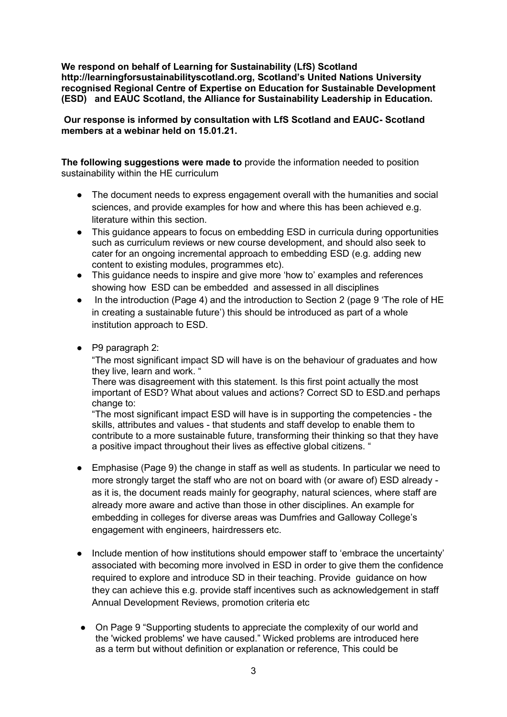**We respond on behalf of Learning for Sustainability (LfS) Scotland [http://learningforsustainabilityscotland.org](http://learningforsustainabilityscotland.org/), Scotland's United Nations University recognised Regional Centre of Expertise on Education for Sustainable Development (ESD) and EAUC Scotland, the Alliance for Sustainability Leadership in Education.** 

**Our response is informed by consultation with LfS Scotland and EAUC- Scotland members at a webinar held on 15.01.21.**

**The following suggestions were made to** provide the information needed to position sustainability within the HE curriculum

- The document needs to express engagement overall with the humanities and social sciences, and provide examples for how and where this has been achieved e.g. literature within this section.
- This guidance appears to focus on embedding ESD in curricula during opportunities such as curriculum reviews or new course development, and should also seek to cater for an ongoing incremental approach to embedding ESD (e.g. adding new content to existing modules, programmes etc).
- This guidance needs to inspire and give more 'how to' examples and references showing how ESD can be embedded and assessed in all disciplines
- In the introduction (Page 4) and the introduction to Section 2 (page 9 'The role of HE in creating a sustainable future') this should be introduced as part of a whole institution approach to ESD.
- P9 paragraph 2:

"The most significant impact SD will have is on the behaviour of graduates and how they live, learn and work. "

There was disagreement with this statement. Is this first point actually the most important of ESD? What about values and actions? Correct SD to ESD.and perhaps change to:

"The most significant impact ESD will have is in supporting the competencies - the skills, attributes and values - that students and staff develop to enable them to contribute to a more sustainable future, transforming their thinking so that they have a positive impact throughout their lives as effective global citizens. "

- Emphasise (Page 9) the change in staff as well as students. In particular we need to more strongly target the staff who are not on board with (or aware of) ESD already as it is, the document reads mainly for geography, natural sciences, where staff are already more aware and active than those in other disciplines. An example for embedding in colleges for diverse areas was Dumfries and Galloway College's engagement with engineers, hairdressers etc.
- Include mention of how institutions should empower staff to 'embrace the uncertainty' associated with becoming more involved in ESD in order to give them the confidence required to explore and introduce SD in their teaching. Provide guidance on how they can achieve this e.g. provide staff incentives such as acknowledgement in staff Annual Development Reviews, promotion criteria etc
- On Page 9 "Supporting students to appreciate the complexity of our world and the 'wicked problems' we have caused." Wicked problems are introduced here as a term but without definition or explanation or reference, This could be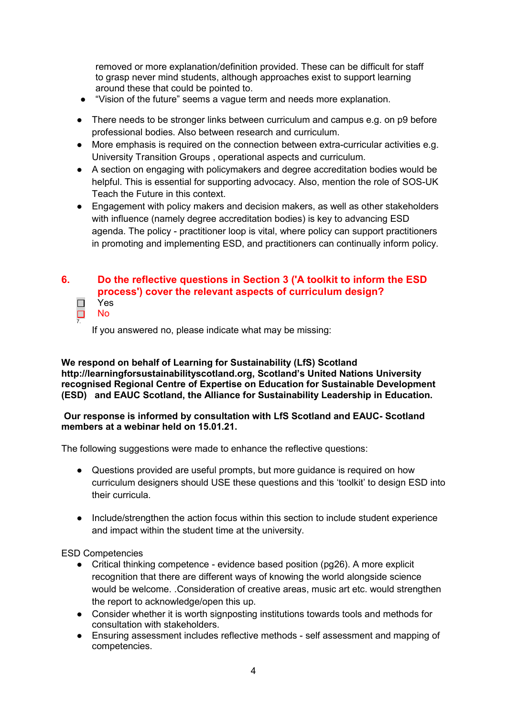removed or more explanation/definition provided. These can be difficult for staff to grasp never mind students, although approaches exist to support learning around these that could be pointed to.

- "Vision of the future" seems a vague term and needs more explanation.
- There needs to be stronger links between curriculum and campus e.g. on p9 before professional bodies. Also between research and curriculum.
- More emphasis is required on the connection between extra-curricular activities e.g. University Transition Groups , operational aspects and curriculum.
- A section on engaging with policymakers and degree accreditation bodies would be helpful. This is essential for supporting advocacy. Also, mention the role of SOS-UK Teach the Future in this context.
- Engagement with policy makers and decision makers, as well as other stakeholders with influence (namely degree accreditation bodies) is key to advancing ESD agenda. The policy - practitioner loop is vital, where policy can support practitioners in promoting and implementing ESD, and practitioners can continually inform policy.

#### **6. Do the reflective questions in Section 3 ('A toolkit to inform the ESD process') cover the relevant aspects of curriculum design?**  $\begin{array}{c} \square \\ \square \end{array}$ Yes No

If you answered no, please indicate what may be missing:

### **We respond on behalf of Learning for Sustainability (LfS) Scotland [http://learningforsustainabilityscotland.org](http://learningforsustainabilityscotland.org/), Scotland's United Nations University recognised Regional Centre of Expertise on Education for Sustainable Development (ESD) and EAUC Scotland, the Alliance for Sustainability Leadership in Education.**

### **Our response is informed by consultation with LfS Scotland and EAUC- Scotland members at a webinar held on 15.01.21.**

The following suggestions were made to enhance the reflective questions:

- Questions provided are useful prompts, but more guidance is required on how curriculum designers should USE these questions and this 'toolkit' to design ESD into their curricula.
- Include/strengthen the action focus within this section to include student experience and impact within the student time at the university.

### ESD Competencies

7.

- Critical thinking competence evidence based position (pg26). A more explicit recognition that there are different ways of knowing the world alongside science would be welcome. .Consideration of creative areas, music art etc. would strengthen the report to acknowledge/open this up.
- Consider whether it is worth signposting institutions towards tools and methods for consultation with stakeholders.
- Ensuring assessment includes reflective methods self assessment and mapping of competencies.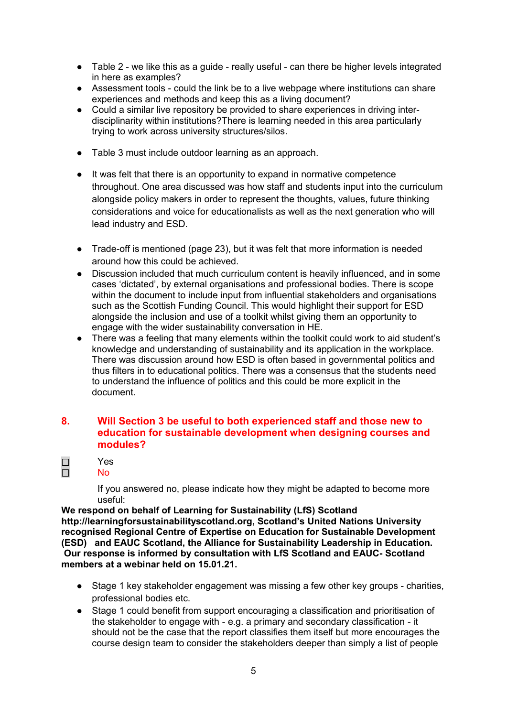- Table 2 we like this as a guide really useful can there be higher levels integrated in here as examples?
- Assessment tools could the link be to a live webpage where institutions can share experiences and methods and keep this as a living document?
- Could a similar live repository be provided to share experiences in driving interdisciplinarity within institutions?There is learning needed in this area particularly trying to work across university structures/silos.
- Table 3 must include outdoor learning as an approach.
- It was felt that there is an opportunity to expand in normative competence throughout. One area discussed was how staff and students input into the curriculum alongside policy makers in order to represent the thoughts, values, future thinking considerations and voice for educationalists as well as the next generation who will lead industry and ESD.
- Trade-off is mentioned (page 23), but it was felt that more information is needed around how this could be achieved.
- Discussion included that much curriculum content is heavily influenced, and in some cases 'dictated', by external organisations and professional bodies. There is scope within the document to include input from influential stakeholders and organisations such as the Scottish Funding Council. This would highlight their support for ESD alongside the inclusion and use of a toolkit whilst giving them an opportunity to engage with the wider sustainability conversation in HE.
- There was a feeling that many elements within the toolkit could work to aid student's knowledge and understanding of sustainability and its application in the workplace. There was discussion around how ESD is often based in governmental politics and thus filters in to educational politics. There was a consensus that the students need to understand the influence of politics and this could be more explicit in the document.

### **8. Will Section 3 be useful to both experienced staff and those new to education for sustainable development when designing courses and modules?**

 $\Box$ Yes  $\Box$ No

> If you answered no, please indicate how they might be adapted to become more useful:

**We respond on behalf of Learning for Sustainability (LfS) Scotland http://learningforsustainabilityscotland.org, Scotland's United Nations University recognised Regional Centre of Expertise on Education for Sustainable Development (ESD) and EAUC Scotland, the Alliance for Sustainability Leadership in Education. Our response is informed by consultation with LfS Scotland and EAUC- Scotland members at a webinar held on 15.01.21.**

- Stage 1 key stakeholder engagement was missing a few other key groups charities, professional bodies etc.
- Stage 1 could benefit from support encouraging a classification and prioritisation of the stakeholder to engage with - e.g. a primary and secondary classification - it should not be the case that the report classifies them itself but more encourages the course design team to consider the stakeholders deeper than simply a list of people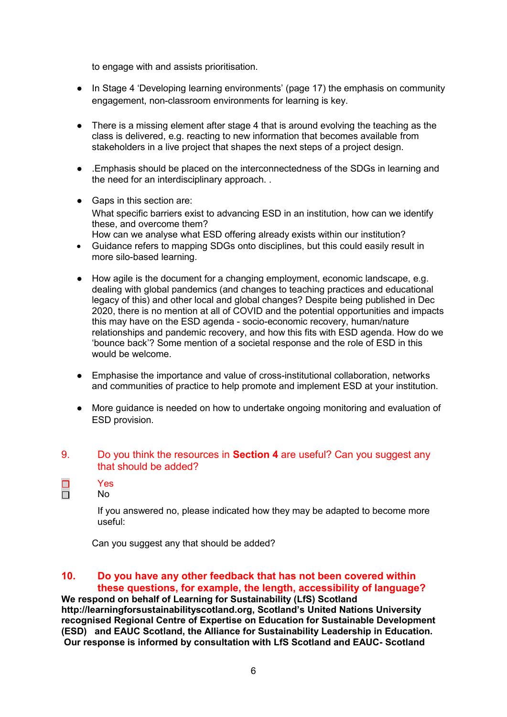to engage with and assists prioritisation.

- In Stage 4 'Developing learning environments' (page 17) the emphasis on community engagement, non-classroom environments for learning is key.
- There is a missing element after stage 4 that is around evolving the teaching as the class is delivered, e.g. reacting to new information that becomes available from stakeholders in a live project that shapes the next steps of a project design.
- .Emphasis should be placed on the interconnectedness of the SDGs in learning and the need for an interdisciplinary approach. .
- Gaps in this section are: What specific barriers exist to advancing ESD in an institution, how can we identify these, and overcome them? How can we analyse what ESD offering already exists within our institution?
- Guidance refers to mapping SDGs onto disciplines, but this could easily result in more silo-based learning.
- How agile is the document for a changing employment, economic landscape, e.g. dealing with global pandemics (and changes to teaching practices and educational legacy of this) and other local and global changes? Despite being published in Dec 2020, there is no mention at all of COVID and the potential opportunities and impacts this may have on the ESD agenda - socio-economic recovery, human/nature relationships and pandemic recovery, and how this fits with ESD agenda. How do we 'bounce back'? Some mention of a societal response and the role of ESD in this would be welcome.
- Emphasise the importance and value of cross-institutional collaboration, networks and communities of practice to help promote and implement ESD at your institution.
- More guidance is needed on how to undertake ongoing monitoring and evaluation of ESD provision.

### 9. Do you think the resources in **Section 4** are useful? Can you suggest any that should be added?

Yes

 $\Box$  $\Box$ 

No

If you answered no, please indicated how they may be adapted to become more useful:

Can you suggest any that should be added?

### **10. Do you have any other feedback that has not been covered within these questions, for example, the length, accessibility of language?**

**We respond on behalf of Learning for Sustainability (LfS) Scotland http://learningforsustainabilityscotland.org, Scotland's United Nations University recognised Regional Centre of Expertise on Education for Sustainable Development (ESD) and EAUC Scotland, the Alliance for Sustainability Leadership in Education. Our response is informed by consultation with LfS Scotland and EAUC- Scotland**